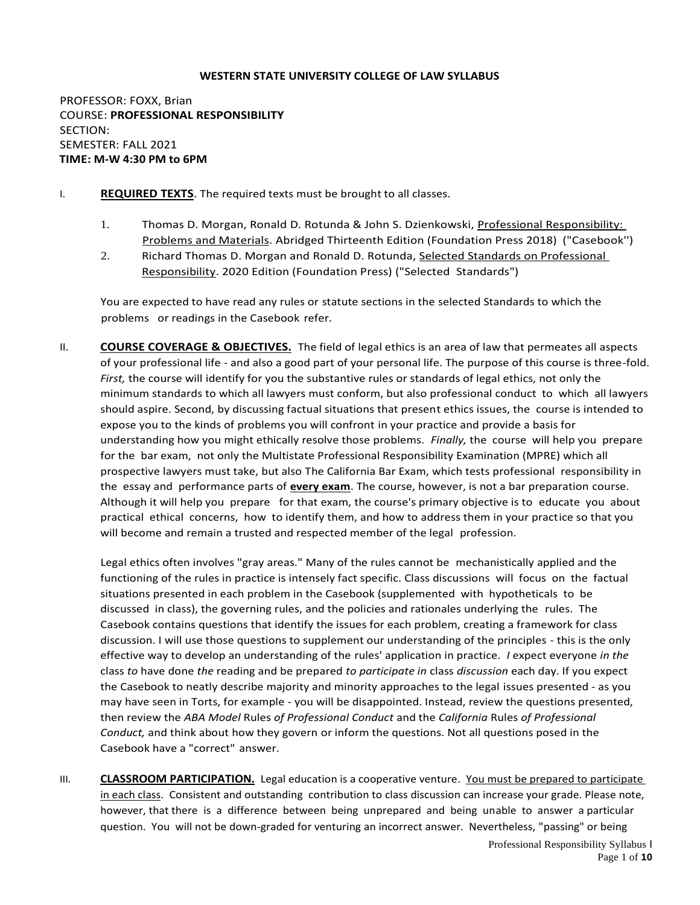#### **WESTERN STATE UNIVERSITY COLLEGE OF LAW SYLLABUS**

PROFESSOR: FOXX, Brian COURSE: **PROFESSIONAL RESPONSIBILITY** SECTION: SEMESTER: FALL 2021 **TIME: M-W 4:30 PM to 6PM**

- I. **REQUIRED TEXTS**. The required texts must be brought to all classes.
	- 1. Thomas D. Morgan, Ronald D. Rotunda & John S. Dzienkowski, Professional Responsibility: Problems and Materials. Abridged Thirteenth Edition (Foundation Press 2018) ("Casebook'')
	- 2. Richard Thomas D. Morgan and Ronald D. Rotunda, Selected Standards on Professional Responsibility. 2020 Edition (Foundation Press) ("Selected Standards")

You are expected to have read any rules or statute sections in the selected Standards to which the problems or readings in the Casebook refer.

II. **COURSE COVERAGE & OBJECTIVES.** The field of legal ethics is an area of law that permeates all aspects of your professional life - and also a good part of your personal life. The purpose of this course is three-fold. *First,* the course will identify for you the substantive rules or standards of legal ethics, not only the minimum standards to which all lawyers must conform, but also professional conduct to which all lawyers should aspire. Second, by discussing factual situations that present ethics issues, the course is intended to expose you to the kinds of problems you will confront in your practice and provide a basis for understanding how you might ethically resolve those problems. *Finally,* the course will help you prepare for the bar exam, not only the Multistate Professional Responsibility Examination (MPRE) which all prospective lawyers must take, but also The California Bar Exam, which tests professional responsibility in the essay and performance parts of **every exam**. The course, however, is not a bar preparation course. Although it will help you prepare for that exam, the course's primary objective is to educate you about practical ethical concerns, how to identify them, and how to address them in your practice so that you will become and remain a trusted and respected member of the legal profession.

Legal ethics often involves "gray areas." Many of the rules cannot be mechanistically applied and the functioning of the rules in practice is intensely fact specific. Class discussions will focus on the factual situations presented in each problem in the Casebook (supplemented with hypotheticals to be discussed in class), the governing rules, and the policies and rationales underlying the rules. The Casebook contains questions that identify the issues for each problem, creating a framework for class discussion. I will use those questions to supplement our understanding of the principles - this is the only effective way to develop an understanding of the rules' application in practice. *I* expect everyone *in the*  class *to* have done *the* reading and be prepared *to participate in* class *discussion* each day. If you expect the Casebook to neatly describe majority and minority approaches to the legal issues presented - as you may have seen in Torts, for example - you will be disappointed. Instead, review the questions presented, then review the *ABA Model* Rules *of Professional Conduct* and the *California* Rules *of Professional Conduct,* and think about how they govern or inform the questions. Not all questions posed in the Casebook have a "correct" answer.

III. **CLASSROOM PARTICIPATION.** Legal education is a cooperative venture. You must be prepared to participate in each class. Consistent and outstanding contribution to class discussion can increase your grade. Please note, however, that there is a difference between being unprepared and being unable to answer a particular question. You will not be down-graded for venturing an incorrect answer. Nevertheless, "passing" or being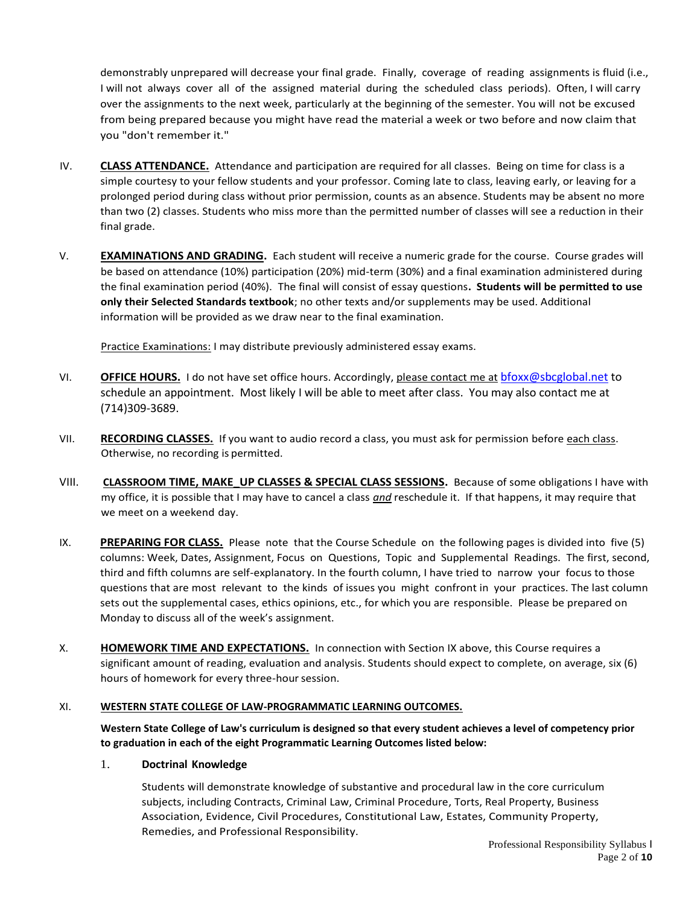demonstrably unprepared will decrease your final grade.Finally, coverage of reading assignments is fluid (i.e., I will not always cover all of the assigned material during the scheduled class periods). Often, I will carry over the assignments to the next week, particularly at the beginning of the semester. You will not be excused from being prepared because you might have read the material a week or two before and now claim that you "don't remember it."

- IV. **CLASS ATTENDANCE.** Attendance and participation are required for all classes. Being on time for class is a simple courtesy to your fellow students and your professor. Coming late to class, leaving early, or leaving for a prolonged period during class without prior permission, counts as an absence. Students may be absent no more than two (2) classes. Students who miss more than the permitted number of classes will see a reduction in their final grade.
- V. **EXAMINATIONS AND GRADING.** Each student will receive a numeric grade for the course. Course grades will be based on attendance (10%) participation (20%) mid-term (30%) and a final examination administered during the final examination period (40%). The final will consist of essay questions**. Students will be permitted to use only their Selected Standards textbook**; no other texts and/or supplements may be used. Additional information will be provided as we draw near to the final examination.

Practice Examinations: I may distribute previously administered essay exams.

- VI. **OFFICE HOURS.** I do not have set office hours. Accordingly, please contact me at [bfoxx@sbcglobal.net](mailto:bfoxx@sbcglobal.net) to schedule an appointment. Most likely I will be able to meet after class. You may also contact me at (714)309-3689.
- VII. **RECORDING CLASSES.** If you want to audio record a class, you must ask for permission before each class. Otherwise, no recording is permitted.
- VIII. **CLASSROOM TIME, MAKE\_UP CLASSES & SPECIAL CLASS SESSIONS.** Because of some obligations I have with my office, it is possible that I may have to cancel a class *and* reschedule it. If that happens, it may require that we meet on a weekend day.
- IX. **PREPARING FOR CLASS.** Please note that the Course Schedule on the following pages is divided into five (5) columns: Week, Dates, Assignment, Focus on Questions, Topic and Supplemental Readings. The first, second, third and fifth columns are self-explanatory. In the fourth column, I have tried to narrow your focus to those questions that are most relevant to the kinds of issues you might confront in your practices. The last column sets out the supplemental cases, ethics opinions, etc., for which you are responsible. Please be prepared on Monday to discuss all of the week's assignment.
- X. **HOMEWORK TIME AND EXPECTATIONS.** In connection with Section IX above, this Course requires a significant amount of reading, evaluation and analysis. Students should expect to complete, on average, six (6) hours of homework for every three-hour session.

### XI. **WESTERN STATE COLLEGE OF LAW-PROGRAMMATIC LEARNING OUTCOMES.**

**Western State College of Law's curriculum is designed so that every student achieves a level of competency prior to graduation in each of the eight Programmatic Learning Outcomes listed below:**

### 1. **Doctrinal Knowledge**

Students will demonstrate knowledge of substantive and procedural law in the core curriculum subjects, including Contracts, Criminal Law, Criminal Procedure, Torts, Real Property, Business Association, Evidence, Civil Procedures, Constitutional Law, Estates, Community Property, Remedies, and Professional Responsibility.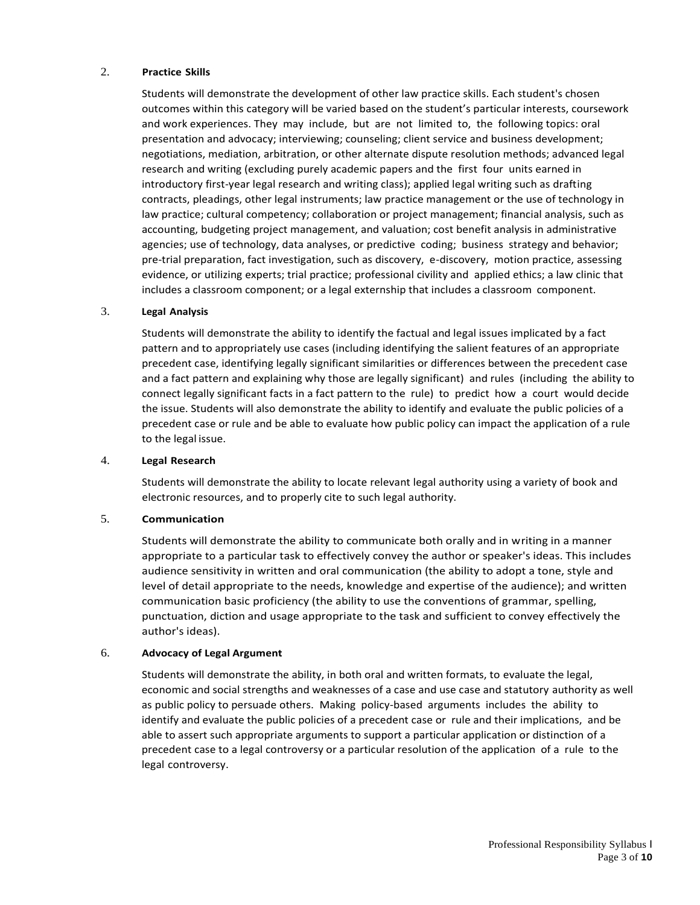#### 2. **Practice Skills**

Students will demonstrate the development of other law practice skills. Each student's chosen outcomes within this category will be varied based on the student's particular interests, coursework and work experiences. They may include, but are not limited to, the following topics: oral presentation and advocacy; interviewing; counseling; client service and business development; negotiations, mediation, arbitration, or other alternate dispute resolution methods; advanced legal research and writing (excluding purely academic papers and the first four units earned in introductory first-year legal research and writing class); applied legal writing such as drafting contracts, pleadings, other legal instruments; law practice management or the use of technology in law practice; cultural competency; collaboration or project management; financial analysis, such as accounting, budgeting project management, and valuation; cost benefit analysis in administrative agencies; use of technology, data analyses, or predictive coding; business strategy and behavior; pre-trial preparation, fact investigation, such as discovery, e-discovery, motion practice, assessing evidence, or utilizing experts; trial practice; professional civility and applied ethics; a law clinic that includes a classroom component; or a legal externship that includes a classroom component.

#### 3. **Legal Analysis**

Students will demonstrate the ability to identify the factual and legal issues implicated by a fact pattern and to appropriately use cases (including identifying the salient features of an appropriate precedent case, identifying legally significant similarities or differences between the precedent case and a fact pattern and explaining why those are legally significant) and rules (including the ability to connect legally significant facts in a fact pattern to the rule) to predict how a court would decide the issue. Students will also demonstrate the ability to identify and evaluate the public policies of a precedent case or rule and be able to evaluate how public policy can impact the application of a rule to the legal issue.

#### 4. **Legal Research**

Students will demonstrate the ability to locate relevant legal authority using a variety of book and electronic resources, and to properly cite to such legal authority.

### 5. **Communication**

Students will demonstrate the ability to communicate both orally and in writing in a manner appropriate to a particular task to effectively convey the author or speaker's ideas. This includes audience sensitivity in written and oral communication (the ability to adopt a tone, style and level of detail appropriate to the needs, knowledge and expertise of the audience); and written communication basic proficiency (the ability to use the conventions of grammar, spelling, punctuation, diction and usage appropriate to the task and sufficient to convey effectively the author's ideas).

# 6. **Advocacy of Legal Argument**

Students will demonstrate the ability, in both oral and written formats, to evaluate the legal, economic and social strengths and weaknesses of a case and use case and statutory authority as well as public policy to persuade others. Making policy-based arguments includes the ability to identify and evaluate the public policies of a precedent case or rule and their implications, and be able to assert such appropriate arguments to support a particular application or distinction of a precedent case to a legal controversy or a particular resolution of the application of a rule to the legal controversy.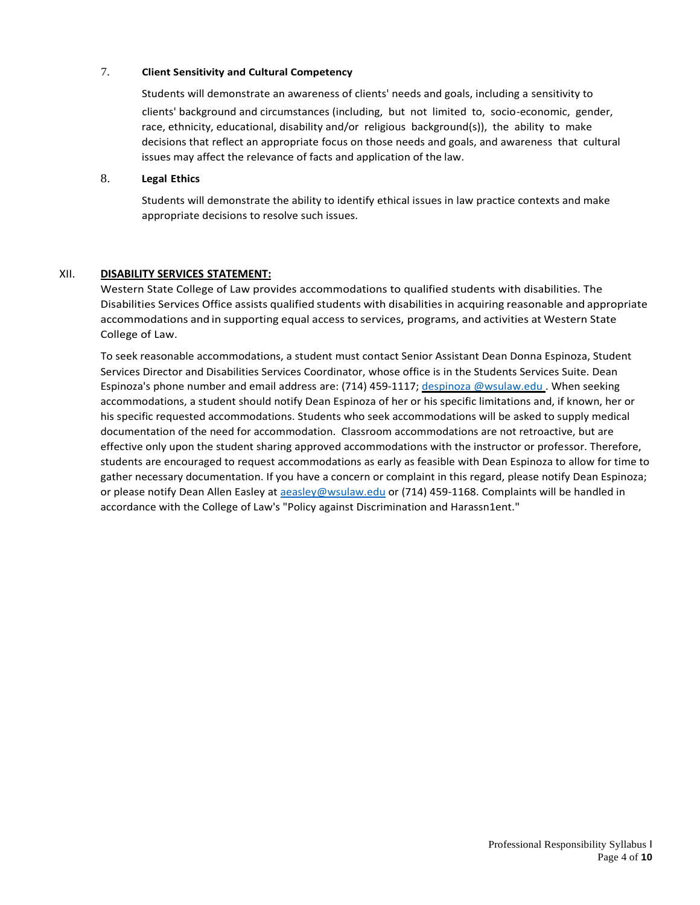# 7. **Client Sensitivity and Cultural Competency**

Students will demonstrate an awareness of clients' needs and goals, including a sensitivity to clients' background and circumstances (including, but not limited to, socio-economic, gender, race, ethnicity, educational, disability and/or religious background(s)), the ability to make decisions that reflect an appropriate focus on those needs and goals, and awareness that cultural issues may affect the relevance of facts and application of the law.

# 8. **Legal Ethics**

Students will demonstrate the ability to identify ethical issues in law practice contexts and make appropriate decisions to resolve such issues.

# XII. **DISABILITY SERVICES STATEMENT:**

Western State College of Law provides accommodations to qualified students with disabilities. The Disabilities Services Office assists qualified students with disabilities in acquiring reasonable and appropriate accommodations and in supporting equal access to services, programs, and activities at Western State College of Law.

To seek reasonable accommodations, a student must contact Senior Assistant Dean Donna Espinoza, Student Services Director and Disabilities Services Coordinator, whose office is in the Students Services Suite. Dean Espinoza's phone number and email address are: (714) 459-1117; [despinoza @wsulaw.edu](mailto:despinoza@wsulaw.edu). When seeking accommodations, a student should notify Dean Espinoza of her or his specific limitations and, if known, her or his specific requested accommodations. Students who seek accommodations will be asked to supply medical documentation of the need for accommodation. Classroom accommodations are not retroactive, but are effective only upon the student sharing approved accommodations with the instructor or professor. Therefore, students are encouraged to request accommodations as early as feasible with Dean Espinoza to allow for time to gather necessary documentation. If you have a concern or complaint in this regard, please notify Dean Espinoza; or please notify Dean Allen Easley at [aeasley@wsulaw.edu](mailto:aeasley@wsulaw.edu) or (714) 459-1168. Complaints will be handled in accordance with the College of Law's "Policy against Discrimination and Harassn1ent."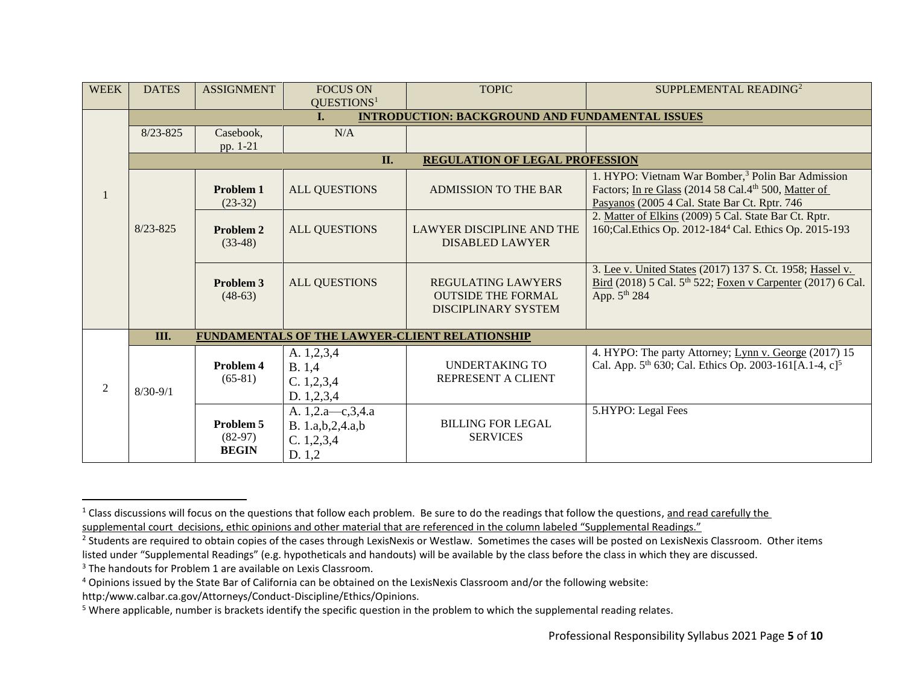| <b>WEEK</b>    | <b>DATES</b> | <b>ASSIGNMENT</b>                                                        | <b>FOCUS ON</b><br>QUESTIONS <sup>1</sup>                       | <b>TOPIC</b>                                                                         | SUPPLEMENTAL READING <sup>2</sup>                                                                                                                                                  |  |  |  |
|----------------|--------------|--------------------------------------------------------------------------|-----------------------------------------------------------------|--------------------------------------------------------------------------------------|------------------------------------------------------------------------------------------------------------------------------------------------------------------------------------|--|--|--|
|                |              | <b>INTRODUCTION: BACKGROUND AND FUNDAMENTAL ISSUES</b><br>$\mathbf{I}$ . |                                                                 |                                                                                      |                                                                                                                                                                                    |  |  |  |
|                | $8/23 - 825$ | Casebook,<br>pp. 1-21                                                    | N/A                                                             |                                                                                      |                                                                                                                                                                                    |  |  |  |
|                |              | II.<br><b>REGULATION OF LEGAL PROFESSION</b>                             |                                                                 |                                                                                      |                                                                                                                                                                                    |  |  |  |
|                | $8/23 - 825$ | Problem 1<br>$(23-32)$                                                   | <b>ALL QUESTIONS</b>                                            | <b>ADMISSION TO THE BAR</b>                                                          | 1. HYPO: Vietnam War Bomber, <sup>3</sup> Polin Bar Admission<br>Factors; In re Glass (2014 58 Cal.4 <sup>th</sup> 500, Matter of<br>Pasyanos (2005 4 Cal. State Bar Ct. Rptr. 746 |  |  |  |
|                |              | <b>Problem 2</b><br>$(33-48)$                                            | <b>ALL QUESTIONS</b>                                            | <b>LAWYER DISCIPLINE AND THE</b><br><b>DISABLED LAWYER</b>                           | 2. Matter of Elkins (2009) 5 Cal. State Bar Ct. Rptr.<br>160; Cal. Ethics Op. 2012-184 <sup>4</sup> Cal. Ethics Op. 2015-193                                                       |  |  |  |
|                |              | Problem 3<br>$(48-63)$                                                   | <b>ALL QUESTIONS</b>                                            | <b>REGULATING LAWYERS</b><br><b>OUTSIDE THE FORMAL</b><br><b>DISCIPLINARY SYSTEM</b> | 3. Lee v. United States (2017) 137 S. Ct. 1958; Hassel v.<br>Bird (2018) 5 Cal. 5 <sup>th</sup> 522; Foxen v Carpenter (2017) 6 Cal.<br>App. $5^{th}$ 284                          |  |  |  |
|                | III.         |                                                                          |                                                                 | FUNDAMENTALS OF THE LAWYER-CLIENT RELATIONSHIP                                       |                                                                                                                                                                                    |  |  |  |
| $\mathfrak{2}$ | $8/30 - 9/1$ | Problem 4<br>$(65-81)$                                                   | A. 1,2,3,4<br>B.1,4<br>C. 1, 2, 3, 4<br>D. 1,2,3,4              | <b>UNDERTAKING TO</b><br>REPRESENT A CLIENT                                          | 4. HYPO: The party Attorney; Lynn v. George (2017) 15<br>Cal. App. $5^{th}$ 630; Cal. Ethics Op. 2003-161[A.1-4, c] <sup>5</sup>                                                   |  |  |  |
|                |              | Problem 5<br>$(82-97)$<br><b>BEGIN</b>                                   | A. 1,2.a-c,3,4.a<br>B. 1.a,b,2,4.a,b<br>C. 1, 2, 3, 4<br>D. 1,2 | <b>BILLING FOR LEGAL</b><br><b>SERVICES</b>                                          | 5.HYPO: Legal Fees                                                                                                                                                                 |  |  |  |

l

<sup>&</sup>lt;sup>1</sup> Class discussions will focus on the questions that follow each problem. Be sure to do the readings that follow the questions, <u>and read carefully the</u> supplemental court decisions, ethic opinions and other material that are referenced in the column labeled "Supplemental Readings."

<sup>&</sup>lt;sup>2</sup> Students are required to obtain copies of the cases through LexisNexis or Westlaw. Sometimes the cases will be posted on LexisNexis Classroom. Other items listed under "Supplemental Readings" (e.g. hypotheticals and handouts) will be available by the class before the class in which they are discussed.

<sup>&</sup>lt;sup>3</sup> The handouts for Problem 1 are available on Lexis Classroom.

<sup>4</sup> Opinions issued by the State Bar of California can be obtained on the LexisNexis Classroom and/or the following website:

http:/www.calbar.ca.gov/Attorneys/Conduct-Discipline/Ethics/Opinions.

<sup>&</sup>lt;sup>5</sup> Where applicable, number is brackets identify the specific question in the problem to which the supplemental reading relates.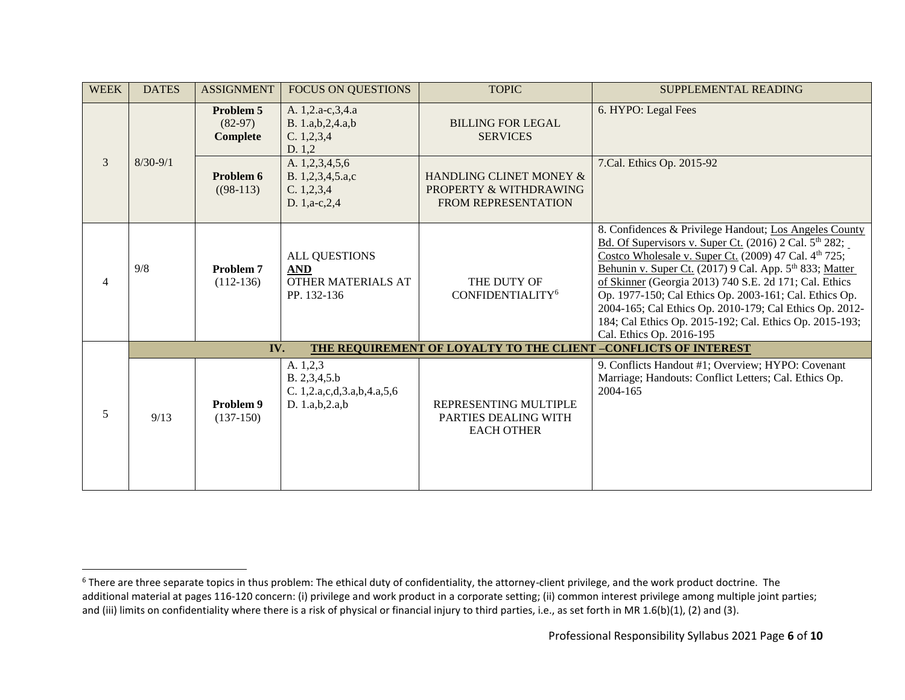| <b>WEEK</b>    | <b>DATES</b> | <b>ASSIGNMENT</b>                         | <b>FOCUS ON QUESTIONS</b>                                                   | <b>TOPIC</b>                                                                    | SUPPLEMENTAL READING                                                                                                                                                                                                                                                                                                                                                                                                                                                                                                               |
|----------------|--------------|-------------------------------------------|-----------------------------------------------------------------------------|---------------------------------------------------------------------------------|------------------------------------------------------------------------------------------------------------------------------------------------------------------------------------------------------------------------------------------------------------------------------------------------------------------------------------------------------------------------------------------------------------------------------------------------------------------------------------------------------------------------------------|
| $\overline{3}$ | $8/30 - 9/1$ | Problem 5<br>$(82-97)$<br><b>Complete</b> | A. 1,2.a-c,3,4.a<br>B. 1.a,b,2,4.a,b<br>C. 1, 2, 3, 4<br>D. 1,2             | <b>BILLING FOR LEGAL</b><br><b>SERVICES</b>                                     | 6. HYPO: Legal Fees                                                                                                                                                                                                                                                                                                                                                                                                                                                                                                                |
|                |              | Problem 6<br>$(98-113)$                   | A. 1,2,3,4,5,6<br>B. 1,2,3,4,5.a,c<br>C. 1, 2, 3, 4<br>D. 1,a-c,2,4         | HANDLING CLINET MONEY &<br>PROPERTY & WITHDRAWING<br><b>FROM REPRESENTATION</b> | 7. Cal. Ethics Op. 2015-92                                                                                                                                                                                                                                                                                                                                                                                                                                                                                                         |
| $\overline{4}$ | 9/8          | Problem 7<br>$(112-136)$                  | <b>ALL QUESTIONS</b><br><b>AND</b><br>OTHER MATERIALS AT<br>PP. 132-136     | THE DUTY OF<br>CONFIDENTIALITY <sup>6</sup>                                     | 8. Confidences & Privilege Handout; Los Angeles County<br>Bd. Of Supervisors v. Super Ct. (2016) 2 Cal. 5 <sup>th</sup> 282;<br>Costco Wholesale v. Super Ct. (2009) 47 Cal. 4 <sup>th</sup> 725;<br>Behunin v. Super Ct. (2017) 9 Cal. App. 5th 833; Matter<br>of Skinner (Georgia 2013) 740 S.E. 2d 171; Cal. Ethics<br>Op. 1977-150; Cal Ethics Op. 2003-161; Cal. Ethics Op.<br>2004-165; Cal Ethics Op. 2010-179; Cal Ethics Op. 2012-<br>184; Cal Ethics Op. 2015-192; Cal. Ethics Op. 2015-193;<br>Cal. Ethics Op. 2016-195 |
|                |              | IV.                                       |                                                                             | THE REQUIREMENT OF LOYALTY TO THE CLIENT -CONFLICTS OF INTEREST                 |                                                                                                                                                                                                                                                                                                                                                                                                                                                                                                                                    |
| 5              | 9/13         | Problem 9<br>$(137-150)$                  | A. 1,2,3<br>B. 2, 3, 4, 5.b<br>C. 1,2.a,c,d,3.a,b,4.a,5,6<br>D. 1.a,b,2.a,b | REPRESENTING MULTIPLE<br>PARTIES DEALING WITH<br><b>EACH OTHER</b>              | 9. Conflicts Handout #1; Overview; HYPO: Covenant<br>Marriage; Handouts: Conflict Letters; Cal. Ethics Op.<br>2004-165                                                                                                                                                                                                                                                                                                                                                                                                             |

 $\overline{a}$ 

<sup>&</sup>lt;sup>6</sup> There are three separate topics in thus problem: The ethical duty of confidentiality, the attorney-client privilege, and the work product doctrine. The additional material at pages 116-120 concern: (i) privilege and work product in a corporate setting; (ii) common interest privilege among multiple joint parties; and (iii) limits on confidentiality where there is a risk of physical or financial injury to third parties, i.e., as set forth in MR 1.6(b)(1), (2) and (3).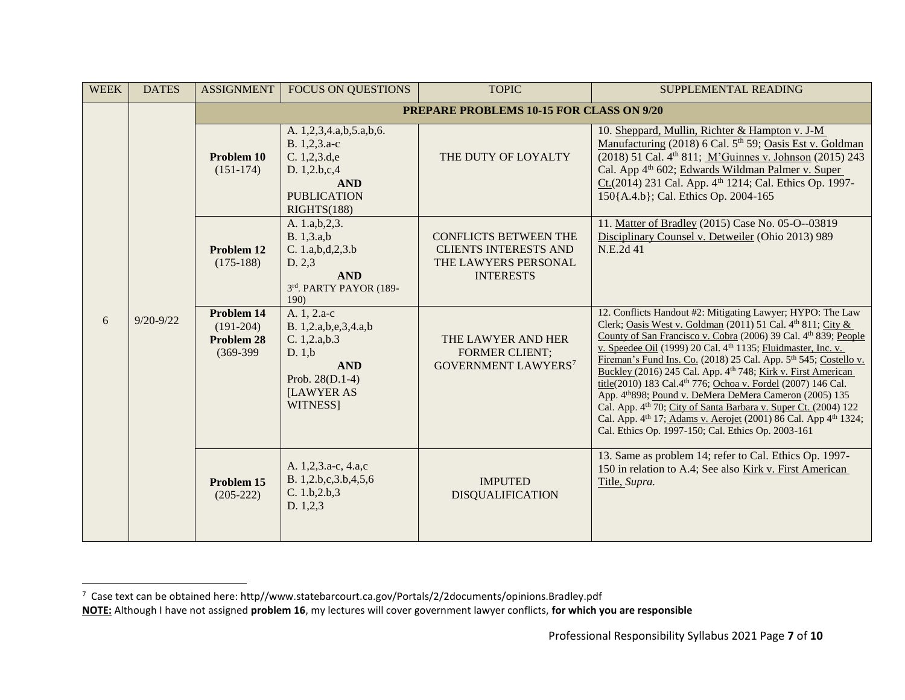| <b>WEEK</b> | <b>DATES</b>  | <b>ASSIGNMENT</b>                                             | <b>FOCUS ON QUESTIONS</b>                                                                                                         | <b>TOPIC</b>                                                                                             | SUPPLEMENTAL READING                                                                                                                                                                                                                                                                                                                                                                                                                                                                                                                                                                                                                                                                                                                                        |  |  |
|-------------|---------------|---------------------------------------------------------------|-----------------------------------------------------------------------------------------------------------------------------------|----------------------------------------------------------------------------------------------------------|-------------------------------------------------------------------------------------------------------------------------------------------------------------------------------------------------------------------------------------------------------------------------------------------------------------------------------------------------------------------------------------------------------------------------------------------------------------------------------------------------------------------------------------------------------------------------------------------------------------------------------------------------------------------------------------------------------------------------------------------------------------|--|--|
|             |               | <b>PREPARE PROBLEMS 10-15 FOR CLASS ON 9/20</b>               |                                                                                                                                   |                                                                                                          |                                                                                                                                                                                                                                                                                                                                                                                                                                                                                                                                                                                                                                                                                                                                                             |  |  |
|             |               | Problem 10<br>$(151-174)$                                     | A. 1,2,3,4.a,b,5.a,b,6.<br>B. 1,2,3.a-c<br>C. 1,2,3.d,e<br>D. 1,2.b,c,4<br><b>AND</b><br><b>PUBLICATION</b><br>RIGHTS(188)        | THE DUTY OF LOYALTY                                                                                      | 10. Sheppard, Mullin, Richter & Hampton v. J-M<br>Manufacturing (2018) 6 Cal. 5 <sup>th</sup> 59; Oasis Est v. Goldman<br>(2018) 51 Cal. 4 <sup>th</sup> 811; M'Guinnes v. Johnson (2015) 243<br>Cal. App 4 <sup>th</sup> 602; Edwards Wildman Palmer v. Super<br>Ct.(2014) 231 Cal. App. 4 <sup>th</sup> 1214; Cal. Ethics Op. 1997-<br>150{A.4.b}; Cal. Ethics Op. 2004-165                                                                                                                                                                                                                                                                                                                                                                               |  |  |
|             |               | Problem 12<br>$(175-188)$                                     | A. 1.a,b, 2, 3.<br>B. 1,3.a,b<br>C. 1.a,b,d,2,3.b<br>D. 2,3<br><b>AND</b><br>3rd. PARTY PAYOR (189-<br>190)                       | <b>CONFLICTS BETWEEN THE</b><br><b>CLIENTS INTERESTS AND</b><br>THE LAWYERS PERSONAL<br><b>INTERESTS</b> | 11. Matter of Bradley (2015) Case No. 05-O--03819<br>Disciplinary Counsel v. Detweiler (Ohio 2013) 989<br>N.E.2d 41                                                                                                                                                                                                                                                                                                                                                                                                                                                                                                                                                                                                                                         |  |  |
| 6           | $9/20 - 9/22$ | Problem 14<br>$(191-204)$<br><b>Problem 28</b><br>$(369-399)$ | A. 1, 2.a-c<br>B. 1,2.a,b,e,3,4.a,b<br>C. 1, 2.a, b.3<br>D. 1,b<br><b>AND</b><br>Prob. 28(D.1-4)<br><b>ILAWYER AS</b><br>WITNESS] | THE LAWYER AND HER<br><b>FORMER CLIENT;</b><br><b>GOVERNMENT LAWYERS7</b>                                | 12. Conflicts Handout #2: Mitigating Lawyer; HYPO: The Law<br>Clerk; Oasis West v. Goldman (2011) 51 Cal. 4th 811; City &<br>County of San Francisco v. Cobra (2006) 39 Cal. 4th 839; People<br>v. Speedee Oil (1999) 20 Cal. 4th 1135; Fluidmaster, Inc. v.<br>Fireman's Fund Ins. Co. (2018) 25 Cal. App. 5th 545; Costello v.<br>Buckley (2016) 245 Cal. App. 4th 748; Kirk v. First American<br>title(2010) 183 Cal.4 <sup>th</sup> 776; Ochoa v. Fordel (2007) 146 Cal.<br>App. 4 <sup>th</sup> 898; Pound v. DeMera DeMera Cameron (2005) 135<br>Cal. App. 4 <sup>th</sup> 70; City of Santa Barbara v. Super Ct. (2004) 122<br>Cal. App. 4th 17; Adams v. Aerojet (2001) 86 Cal. App 4th 1324;<br>Cal. Ethics Op. 1997-150; Cal. Ethics Op. 2003-161 |  |  |
|             |               | Problem 15<br>$(205-222)$                                     | A. 1,2,3.a-c, 4.a,c<br>B. 1,2.b,c,3.b,4,5,6<br>C. 1.b, 2.b, 3<br>D. 1,2,3                                                         | <b>IMPUTED</b><br><b>DISQUALIFICATION</b>                                                                | 13. Same as problem 14; refer to Cal. Ethics Op. 1997-<br>150 in relation to A.4; See also Kirk v. First American<br>Title, Supra.                                                                                                                                                                                                                                                                                                                                                                                                                                                                                                                                                                                                                          |  |  |

l

 $^7$  Case text can be obtained here: http//www.statebarcourt.ca.gov/Portals/2/2documents/opinions.Bradley.pdf

**NOTE:** Although I have not assigned **problem 16**, my lectures will cover government lawyer conflicts, **for which you are responsible**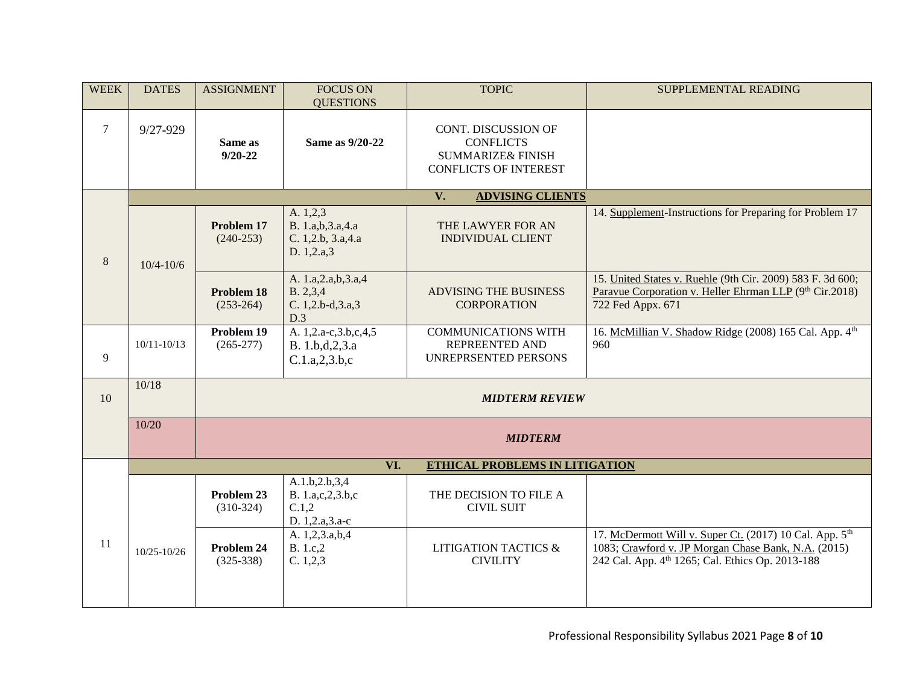| <b>WEEK</b>    | <b>DATES</b>                             | <b>ASSIGNMENT</b>         | <b>FOCUS ON</b><br><b>QUESTIONS</b>                              | <b>TOPIC</b>                                                                                            | SUPPLEMENTAL READING                                                                                                                                                           |  |  |
|----------------|------------------------------------------|---------------------------|------------------------------------------------------------------|---------------------------------------------------------------------------------------------------------|--------------------------------------------------------------------------------------------------------------------------------------------------------------------------------|--|--|
| $\overline{7}$ | $9/27 - 929$                             | Same as<br>$9/20 - 22$    | Same as 9/20-22                                                  | CONT. DISCUSSION OF<br><b>CONFLICTS</b><br><b>SUMMARIZE&amp; FINISH</b><br><b>CONFLICTS OF INTEREST</b> |                                                                                                                                                                                |  |  |
|                | $V_{\bullet}$<br><b>ADVISING CLIENTS</b> |                           |                                                                  |                                                                                                         |                                                                                                                                                                                |  |  |
| 8              | $10/4 - 10/6$                            | Problem 17<br>$(240-253)$ | A. 1,2,3<br>B. 1.a,b,3.a,4.a<br>C. 1,2.b, 3.a, 4.a<br>D. 1,2.a,3 | THE LAWYER FOR AN<br><b>INDIVIDUAL CLIENT</b>                                                           | 14. Supplement-Instructions for Preparing for Problem 17                                                                                                                       |  |  |
|                |                                          | Problem 18<br>$(253-264)$ | A. 1.a, 2.a, b, 3.a, 4<br>B. 2,3,4<br>C. 1,2.b-d,3.a,3<br>D.3    | <b>ADVISING THE BUSINESS</b><br><b>CORPORATION</b>                                                      | 15. United States v. Ruehle (9th Cir. 2009) 583 F. 3d 600;<br>Paravue Corporation v. Heller Ehrman LLP (9th Cir.2018)<br>722 Fed Appx. 671                                     |  |  |
| 9              | $10/11 - 10/13$                          | Problem 19<br>$(265-277)$ | A. 1,2.a-c,3.b,c,4,5<br>B. 1.b,d,2,3.a<br>C.1.a, 2, 3.b, c       | <b>COMMUNICATIONS WITH</b><br>REPREENTED AND<br>UNREPRSENTED PERSONS                                    | 16. McMillian V. Shadow Ridge (2008) 165 Cal. App. 4th<br>960                                                                                                                  |  |  |
| 10             | 10/18                                    | <b>MIDTERM REVIEW</b>     |                                                                  |                                                                                                         |                                                                                                                                                                                |  |  |
|                | 10/20                                    | <b>MIDTERM</b>            |                                                                  |                                                                                                         |                                                                                                                                                                                |  |  |
|                |                                          |                           | VI.                                                              | ETHICAL PROBLEMS IN LITIGATION                                                                          |                                                                                                                                                                                |  |  |
|                |                                          | Problem 23<br>$(310-324)$ | A.1.b, 2.b, 3, 4<br>B. 1.a,c,2,3.b,c<br>C.1,2<br>D. 1,2.a,3.a-c  | THE DECISION TO FILE A<br><b>CIVIL SUIT</b>                                                             |                                                                                                                                                                                |  |  |
| 11             | $10/25 - 10/26$                          | Problem 24<br>$(325-338)$ | A. 1,2,3.a,b,4<br>B. 1.c,2<br>C. 1, 2, 3                         | <b>LITIGATION TACTICS &amp;</b><br><b>CIVILITY</b>                                                      | 17. McDermott Will v. Super Ct. (2017) 10 Cal. App. 5 <sup>th</sup><br>1083; Crawford v. JP Morgan Chase Bank, N.A. (2015)<br>242 Cal. App. 4th 1265; Cal. Ethics Op. 2013-188 |  |  |
|                |                                          |                           |                                                                  |                                                                                                         |                                                                                                                                                                                |  |  |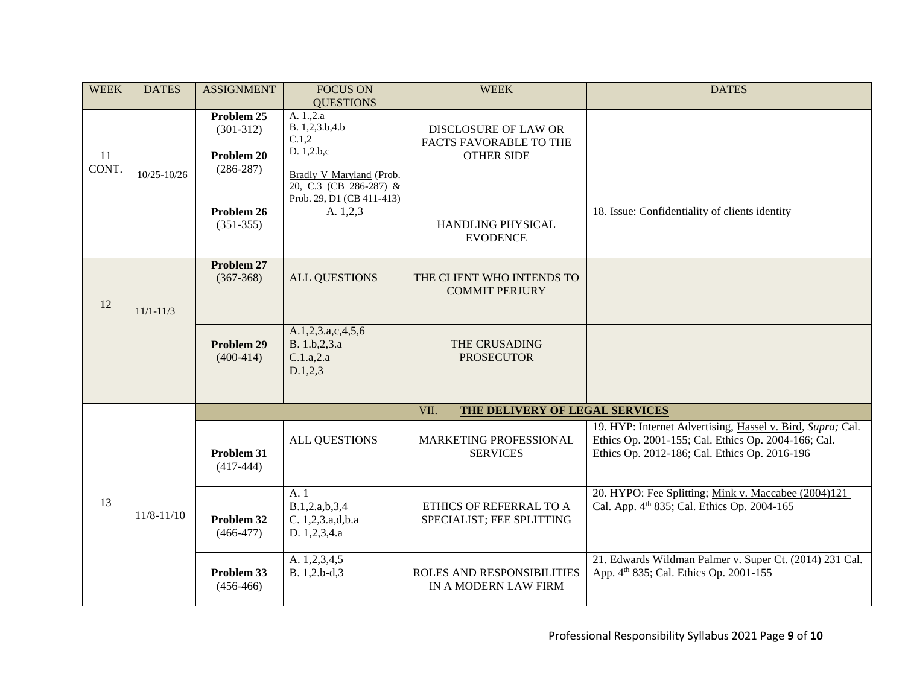| <b>WEEK</b> | <b>DATES</b>   | <b>ASSIGNMENT</b>                                      | <b>FOCUS ON</b><br><b>QUESTIONS</b>                                                                                                   | <b>WEEK</b>                                                                | <b>DATES</b>                                                                                                                                                       |  |
|-------------|----------------|--------------------------------------------------------|---------------------------------------------------------------------------------------------------------------------------------------|----------------------------------------------------------------------------|--------------------------------------------------------------------------------------------------------------------------------------------------------------------|--|
| 11<br>CONT. | 10/25-10/26    | Problem 25<br>$(301-312)$<br>Problem 20<br>$(286-287)$ | A. 1.,2.a<br>B. 1,2,3.b,4.b<br>C.1,2<br>D. 1,2.b,c<br>Bradly V Maryland (Prob.<br>20, C.3 (CB 286-287) &<br>Prob. 29, D1 (CB 411-413) | <b>DISCLOSURE OF LAW OR</b><br>FACTS FAVORABLE TO THE<br><b>OTHER SIDE</b> |                                                                                                                                                                    |  |
|             |                | Problem 26<br>$(351-355)$                              | A. 1,2,3                                                                                                                              | HANDLING PHYSICAL<br><b>EVODENCE</b>                                       | 18. Issue: Confidentiality of clients identity                                                                                                                     |  |
| 12          | $11/1 - 11/3$  | Problem 27<br>$(367-368)$                              | <b>ALL QUESTIONS</b>                                                                                                                  | THE CLIENT WHO INTENDS TO<br><b>COMMIT PERJURY</b>                         |                                                                                                                                                                    |  |
|             |                | Problem 29<br>$(400-414)$                              | A.1,2,3.a,c,4,5,6<br>B. 1.b, 2, 3.a<br>C.1.a,2.a<br>D.1, 2, 3                                                                         | THE CRUSADING<br><b>PROSECUTOR</b>                                         |                                                                                                                                                                    |  |
|             |                | VII.<br>THE DELIVERY OF LEGAL SERVICES                 |                                                                                                                                       |                                                                            |                                                                                                                                                                    |  |
| 13          |                | Problem 31<br>$(417-444)$                              | ALL QUESTIONS                                                                                                                         | MARKETING PROFESSIONAL<br><b>SERVICES</b>                                  | 19. HYP: Internet Advertising, Hassel v. Bird, Supra; Cal.<br>Ethics Op. 2001-155; Cal. Ethics Op. 2004-166; Cal.<br>Ethics Op. 2012-186; Cal. Ethics Op. 2016-196 |  |
|             | $11/8 - 11/10$ | Problem 32<br>$(466-477)$                              | A. 1<br>B.1,2.a,b,3,4<br>C. 1,2,3.a,d,b.a<br>D. 1,2,3,4.a                                                                             | ETHICS OF REFERRAL TO A<br>SPECIALIST; FEE SPLITTING                       | 20. HYPO: Fee Splitting; Mink v. Maccabee (2004)121<br>Cal. App. 4 <sup>th</sup> 835; Cal. Ethics Op. 2004-165                                                     |  |
|             |                | Problem 33<br>$(456-466)$                              | A. 1,2,3,4,5<br>B. 1,2.b-d,3                                                                                                          | ROLES AND RESPONSIBILITIES<br>IN A MODERN LAW FIRM                         | 21. Edwards Wildman Palmer v. Super Ct. (2014) 231 Cal.<br>App. 4th 835; Cal. Ethics Op. 2001-155                                                                  |  |